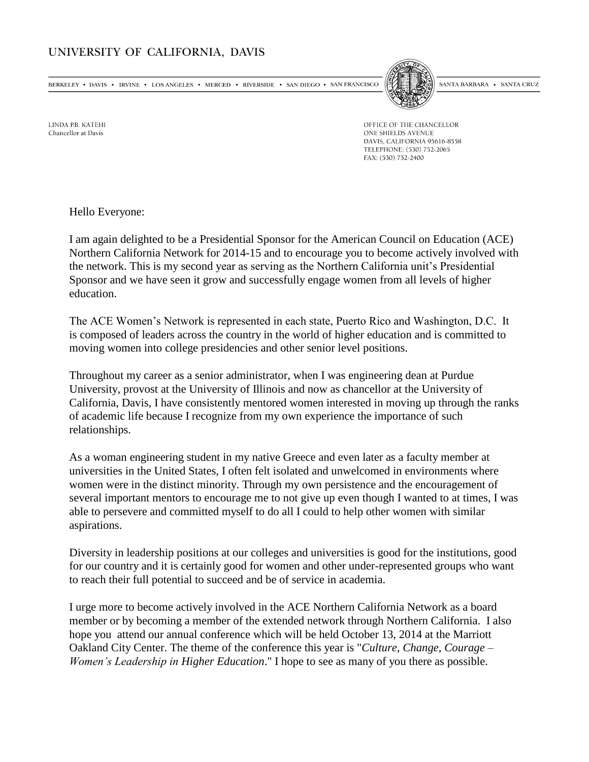## UNIVERSITY OF CALIFORNIA, DAVIS

BERKELEY • DAVIS • IRVINE • LOS ANGELES • MERCED • RIVERSIDE • SAN DIEGO • SAN FRANCISCO



SANTA BARBARA • SANTA CRUZ

**LINDA PR KATFHI** Chancellor at Davis

OFFICE OF THE CHANCELLOR ONE SHIELDS AVENUE DAVIS, CALIFORNIA 95616-8558 TELEPHONE: (530) 752-2065 FAX: (530) 752-2400

Hello Everyone:

I am again delighted to be a Presidential Sponsor for the American Council on Education (ACE) Northern California Network for 2014-15 and to encourage you to become actively involved with the network. This is my second year as serving as the Northern California unit's Presidential Sponsor and we have seen it grow and successfully engage women from all levels of higher education.

The ACE Women's Network is represented in each state, Puerto Rico and Washington, D.C. It is composed of leaders across the country in the world of higher education and is committed to moving women into college presidencies and other senior level positions.

Throughout my career as a senior administrator, when I was engineering dean at Purdue University, provost at the University of Illinois and now as chancellor at the University of California, Davis, I have consistently mentored women interested in moving up through the ranks of academic life because I recognize from my own experience the importance of such relationships.

As a woman engineering student in my native Greece and even later as a faculty member at universities in the United States, I often felt isolated and unwelcomed in environments where women were in the distinct minority. Through my own persistence and the encouragement of several important mentors to encourage me to not give up even though I wanted to at times, I was able to persevere and committed myself to do all I could to help other women with similar aspirations.

Diversity in leadership positions at our colleges and universities is good for the institutions, good for our country and it is certainly good for women and other under-represented groups who want to reach their full potential to succeed and be of service in academia.

I urge more to become actively involved in the ACE Northern California Network as a board member or by becoming a member of the extended network through Northern California. I also hope you attend our annual conference which will be held October 13, 2014 at the Marriott Oakland City Center. The theme of the conference this year is "*Culture, Change, Courage – Women's Leadership in Higher Education*." I hope to see as many of you there as possible.